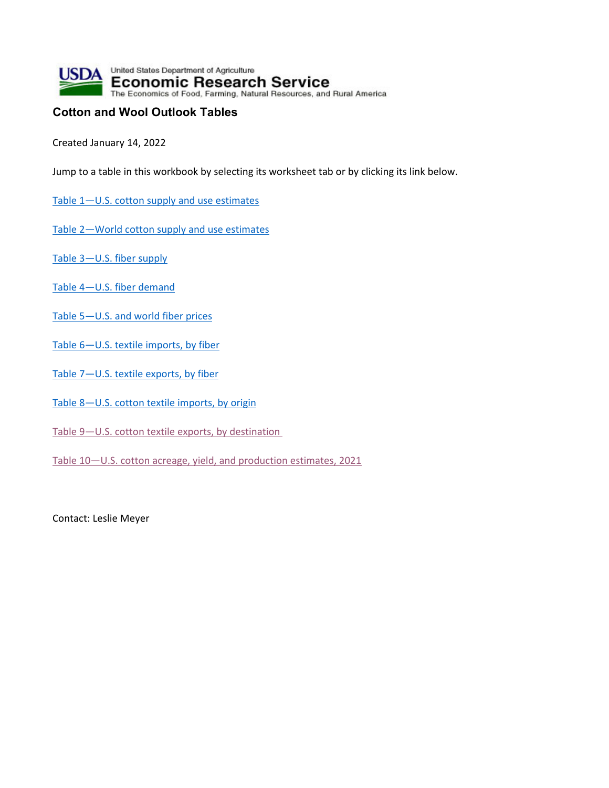

## **Cotton and Wool Outlook Tables**

Created January 14, 2022

Jump to a table in this workbook by selecting its worksheet tab or by clicking its link below.

- Table 1-U.S. cotton supply and use estimates
- Table 2—World cotton supply and use estimates
- Table 3—U.S. fiber supply
- Table 4—U.S. fiber demand
- Table 5-U.S. and world fiber prices
- Table 6—U.S. textile imports, by fiber
- Table 7—U.S. textile exports, by fiber
- Table 8-U.S. cotton textile imports, by origin
- Table 9-U.S. cotton textile exports, by destination
- Table 10—U.S. cotton acreage, yield, and production estimates, 2021

Contact: Leslie Meyer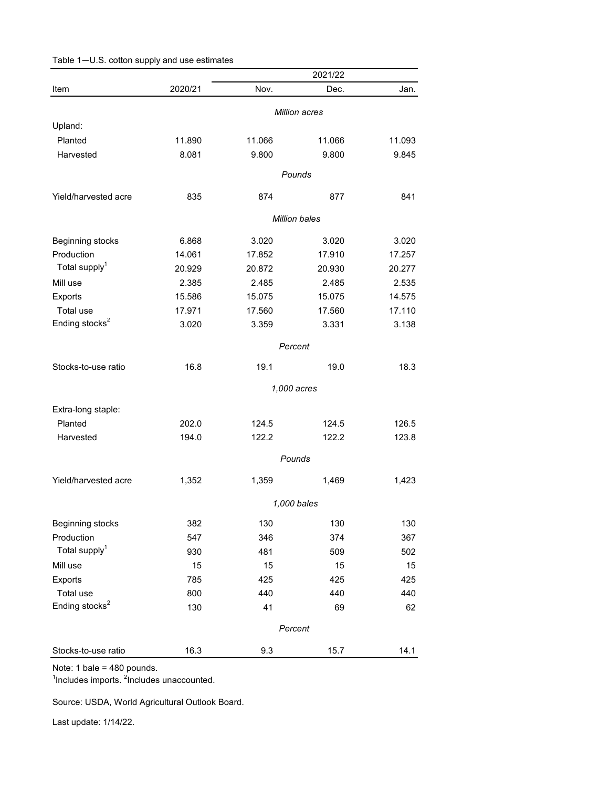|                            |         |             | 2021/22              |        |
|----------------------------|---------|-------------|----------------------|--------|
| Item                       | 2020/21 | Nov.        | Dec.                 | Jan.   |
|                            |         |             | Million acres        |        |
| Upland:                    |         |             |                      |        |
| Planted                    | 11.890  | 11.066      | 11.066               | 11.093 |
| Harvested                  | 8.081   | 9.800       | 9.800                | 9.845  |
|                            |         |             | Pounds               |        |
| Yield/harvested acre       | 835     | 874         | 877                  | 841    |
|                            |         |             | <b>Million bales</b> |        |
|                            |         |             |                      |        |
| Beginning stocks           | 6.868   | 3.020       | 3.020                | 3.020  |
| Production                 | 14.061  | 17.852      | 17.910               | 17.257 |
| Total supply <sup>1</sup>  | 20.929  | 20.872      | 20.930               | 20.277 |
| Mill use                   | 2.385   | 2.485       | 2.485                | 2.535  |
| Exports                    | 15.586  | 15.075      | 15.075               | 14.575 |
| Total use                  | 17.971  | 17.560      | 17.560               | 17.110 |
| Ending stocks <sup>2</sup> | 3.020   | 3.359       | 3.331                | 3.138  |
|                            |         | Percent     |                      |        |
| Stocks-to-use ratio        | 16.8    | 19.1        | 19.0                 | 18.3   |
|                            |         | 1,000 acres |                      |        |
| Extra-long staple:         |         |             |                      |        |
| Planted                    | 202.0   | 124.5       | 124.5                | 126.5  |
| Harvested                  | 194.0   | 122.2       | 122.2                | 123.8  |
|                            |         |             |                      |        |
|                            |         |             | Pounds               |        |
| Yield/harvested acre       | 1,352   | 1,359       | 1,469                | 1,423  |
|                            |         |             | 1,000 bales          |        |
| Beginning stocks           | 382     | 130         | 130                  | 130    |
| Production                 | 547     | 346         | 374                  | 367    |
| Total supply <sup>1</sup>  | 930     | 481         | 509                  | 502    |
| Mill use                   | 15      | 15          | 15                   | 15     |
| Exports                    | 785     | 425         | 425                  | 425    |
| Total use                  | 800     | 440         | 440                  | 440    |
| Ending stocks <sup>2</sup> | 130     | 41          | 69                   | 62     |
|                            |         | Percent     |                      |        |
|                            |         |             |                      |        |
| Stocks-to-use ratio        | 16.3    | 9.3         | 15.7                 | 14.1   |

<sup>1</sup>Includes imports. <sup>2</sup>Includes unaccounted.

Source: USDA, World Agricultural Outlook Board.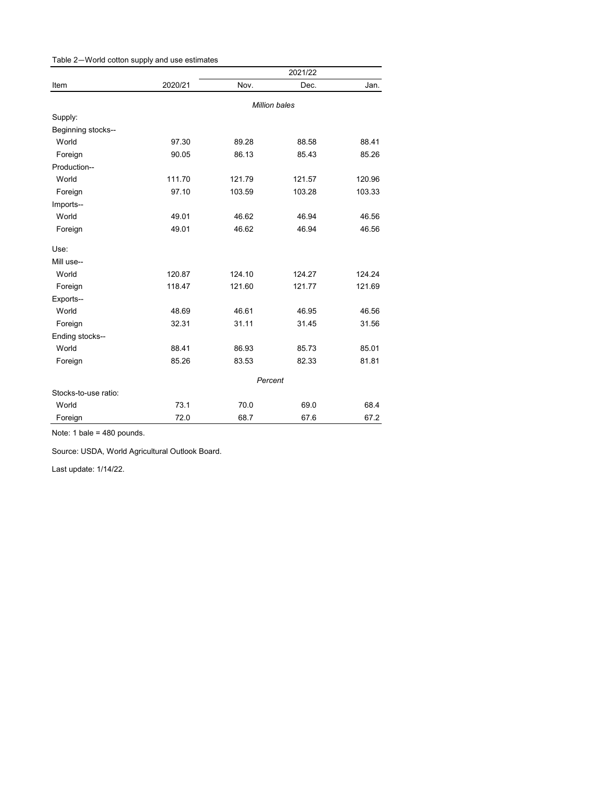|                      |         |         | 2021/22              |        |
|----------------------|---------|---------|----------------------|--------|
| Item                 | 2020/21 | Nov.    | Dec.                 | Jan.   |
|                      |         |         | <b>Million bales</b> |        |
| Supply:              |         |         |                      |        |
| Beginning stocks--   |         |         |                      |        |
| World                | 97.30   | 89.28   | 88.58                | 88.41  |
| Foreign              | 90.05   | 86.13   | 85.43                | 85.26  |
| Production--         |         |         |                      |        |
| World                | 111.70  | 121.79  | 121.57               | 120.96 |
| Foreign              | 97.10   | 103.59  | 103.28               | 103.33 |
| Imports--            |         |         |                      |        |
| World                | 49.01   | 46.62   | 46.94                | 46.56  |
| Foreign              | 49.01   | 46.62   | 46.94                | 46.56  |
| Use:                 |         |         |                      |        |
| Mill use--           |         |         |                      |        |
| World                | 120.87  | 124.10  | 124.27               | 124.24 |
| Foreign              | 118.47  | 121.60  | 121.77               | 121.69 |
| Exports--            |         |         |                      |        |
| World                | 48.69   | 46.61   | 46.95                | 46.56  |
| Foreign              | 32.31   | 31.11   | 31.45                | 31.56  |
| Ending stocks--      |         |         |                      |        |
| World                | 88.41   | 86.93   | 85.73                | 85.01  |
| Foreign              | 85.26   | 83.53   | 82.33                | 81.81  |
|                      |         | Percent |                      |        |
| Stocks-to-use ratio: |         |         |                      |        |
| World                | 73.1    | 70.0    | 69.0                 | 68.4   |
| Foreign              | 72.0    | 68.7    | 67.6                 | 67.2   |

Source: USDA, World Agricultural Outlook Board.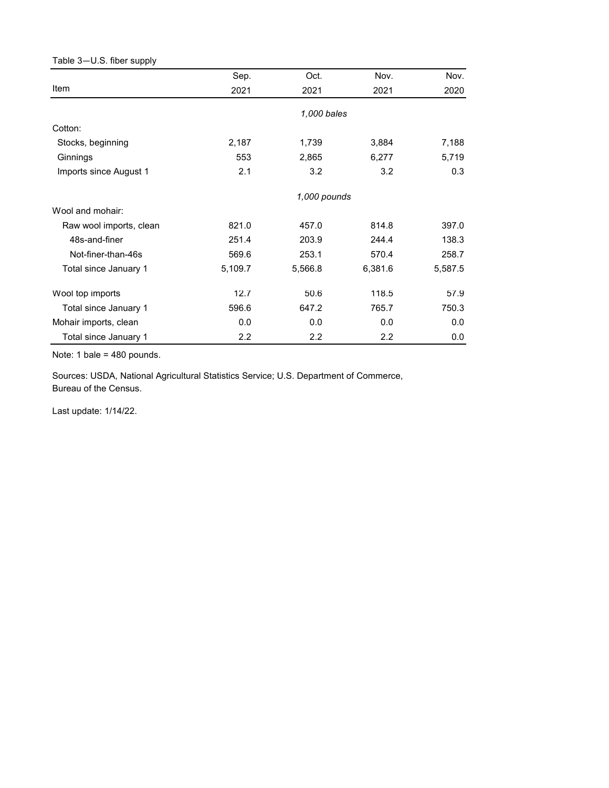## Table 3—U.S. fiber supply *X3A0T*

|                         | Sep.         | Oct.        | Nov.             | Nov.    |  |
|-------------------------|--------------|-------------|------------------|---------|--|
| Item                    | 2021         | 2021        | 2021             | 2020    |  |
|                         |              | 1,000 bales |                  |         |  |
| Cotton:                 |              |             |                  |         |  |
| Stocks, beginning       | 2,187        | 1,739       | 3,884            | 7,188   |  |
| Ginnings                | 553          | 2,865       | 6,277            | 5,719   |  |
| Imports since August 1  | 2.1          | 3.2         | 3.2              | 0.3     |  |
|                         | 1,000 pounds |             |                  |         |  |
| Wool and mohair:        |              |             |                  |         |  |
| Raw wool imports, clean | 821.0        | 457.0       | 814.8            | 397.0   |  |
| 48s-and-finer           | 251.4        | 203.9       | 244.4            | 138.3   |  |
| Not-finer-than-46s      | 569.6        | 253.1       | 570.4            | 258.7   |  |
| Total since January 1   | 5,109.7      | 5,566.8     | 6,381.6          | 5,587.5 |  |
| Wool top imports        | 12.7         | 50.6        | 118.5            | 57.9    |  |
| Total since January 1   | 596.6        | 647.2       | 765.7            | 750.3   |  |
| Mohair imports, clean   | 0.0          | 0.0         | 0.0              | 0.0     |  |
| Total since January 1   | 2.2          | 2.2         | $2.2\phantom{0}$ | 0.0     |  |

Note: 1 bale = 480 pounds.

Sources: USDA, National Agricultural Statistics Service; U.S. Department of Commerce, Bureau of the Census.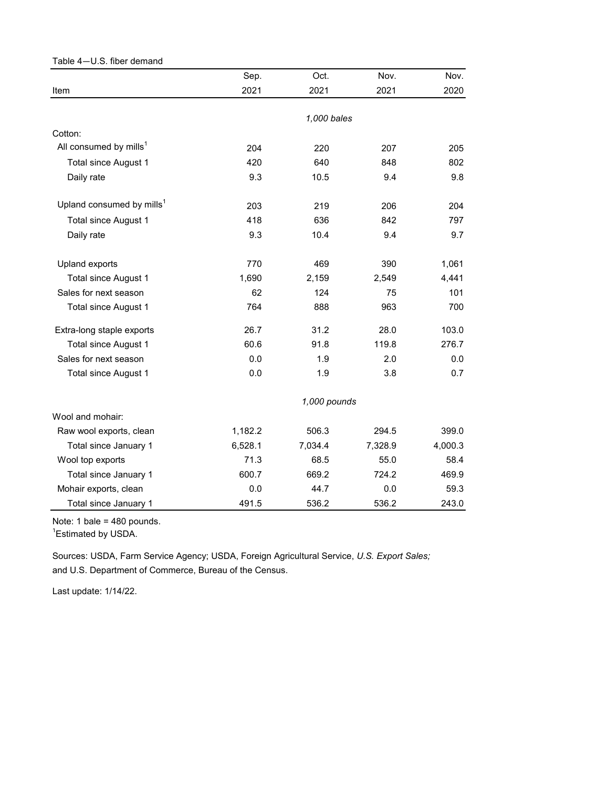| Table 4-U.S. fiber demand             |              |             |         |         |  |
|---------------------------------------|--------------|-------------|---------|---------|--|
|                                       | Sep.         | Oct.        | Nov.    | Nov.    |  |
| Item                                  | 2021         | 2021        | 2021    | 2020    |  |
|                                       |              |             |         |         |  |
|                                       |              | 1,000 bales |         |         |  |
| Cotton:                               |              |             |         |         |  |
| All consumed by mills <sup>1</sup>    | 204          | 220         | 207     | 205     |  |
| Total since August 1                  | 420          | 640         | 848     | 802     |  |
| Daily rate                            | 9.3          | 10.5        | 9.4     | 9.8     |  |
| Upland consumed by mills <sup>1</sup> | 203          | 219         | 206     | 204     |  |
| <b>Total since August 1</b>           | 418          | 636         | 842     | 797     |  |
| Daily rate                            | 9.3          | 10.4        | 9.4     | 9.7     |  |
| Upland exports                        | 770          | 469         | 390     | 1,061   |  |
| Total since August 1                  | 1,690        | 2,159       | 2,549   | 4,441   |  |
| Sales for next season                 | 62           | 124         | 75      | 101     |  |
| <b>Total since August 1</b>           | 764          | 888         | 963     | 700     |  |
| Extra-long staple exports             | 26.7         | 31.2        | 28.0    | 103.0   |  |
| <b>Total since August 1</b>           | 60.6         | 91.8        | 119.8   | 276.7   |  |
| Sales for next season                 | 0.0          | 1.9         | 2.0     | 0.0     |  |
| <b>Total since August 1</b>           | 0.0          | 1.9         | 3.8     | 0.7     |  |
|                                       | 1,000 pounds |             |         |         |  |
| Wool and mohair:                      |              |             |         |         |  |
| Raw wool exports, clean               | 1,182.2      | 506.3       | 294.5   | 399.0   |  |
| Total since January 1                 | 6,528.1      | 7,034.4     | 7,328.9 | 4,000.3 |  |
| Wool top exports                      | 71.3         | 68.5        | 55.0    | 58.4    |  |
| Total since January 1                 | 600.7        | 669.2       | 724.2   | 469.9   |  |
| Mohair exports, clean                 | 0.0          | 44.7        | 0.0     | 59.3    |  |
| Total since January 1                 | 491.5        | 536.2       | 536.2   | 243.0   |  |

1 Estimated by USDA.

and U.S. Department of Commerce, Bureau of the Census. Sources: USDA, Farm Service Agency; USDA, Foreign Agricultural Service, *U.S. Export Sales;*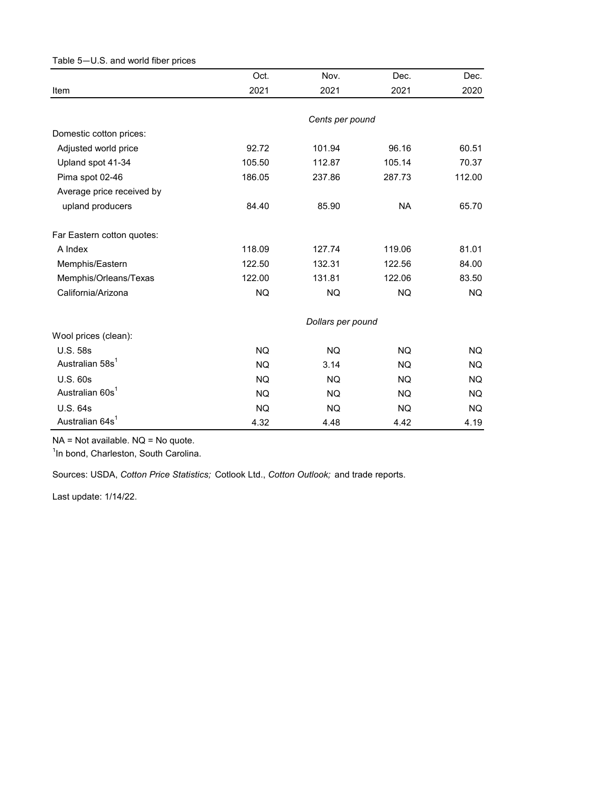| Table 5-U.S. and world fiber prices |                   |                 |           |        |  |  |
|-------------------------------------|-------------------|-----------------|-----------|--------|--|--|
|                                     | Oct.              | Nov.            | Dec.      | Dec.   |  |  |
| Item                                | 2021              | 2021            | 2021      | 2020   |  |  |
|                                     |                   |                 |           |        |  |  |
|                                     |                   | Cents per pound |           |        |  |  |
| Domestic cotton prices:             |                   |                 |           |        |  |  |
| Adjusted world price                | 92.72             | 101.94          | 96.16     | 60.51  |  |  |
| Upland spot 41-34                   | 105.50            | 112.87          | 105.14    | 70.37  |  |  |
| Pima spot 02-46                     | 186.05            | 237.86          | 287.73    | 112.00 |  |  |
| Average price received by           |                   |                 |           |        |  |  |
| upland producers                    | 84.40             | 85.90           | <b>NA</b> | 65.70  |  |  |
| Far Eastern cotton quotes:          |                   |                 |           |        |  |  |
| A Index                             | 118.09            | 127.74          | 119.06    | 81.01  |  |  |
| Memphis/Eastern                     | 122.50            | 132.31          | 122.56    | 84.00  |  |  |
| Memphis/Orleans/Texas               | 122.00            | 131.81          | 122.06    | 83.50  |  |  |
| California/Arizona                  | <b>NQ</b>         | <b>NQ</b>       | NQ.       | NQ.    |  |  |
|                                     | Dollars per pound |                 |           |        |  |  |
| Wool prices (clean):                |                   |                 |           |        |  |  |
| <b>U.S. 58s</b>                     | <b>NQ</b>         | <b>NQ</b>       | NQ.       | NQ.    |  |  |
| Australian 58s <sup>1</sup>         | <b>NQ</b>         | 3.14            | NQ.       | NQ.    |  |  |
| <b>U.S. 60s</b>                     | <b>NQ</b>         | <b>NQ</b>       | <b>NQ</b> | NQ.    |  |  |
| Australian 60s <sup>1</sup>         | <b>NQ</b>         | NQ              | NQ.       | NQ.    |  |  |
| U.S. 64s                            | <b>NQ</b>         | <b>NQ</b>       | NQ.       | NQ.    |  |  |
| Australian 64s <sup>1</sup>         | 4.32              | 4.48            | 4.42      | 4.19   |  |  |

NA = Not available. NQ = No quote.

<sup>1</sup>In bond, Charleston, South Carolina.

Sources: USDA, *Cotton Price Statistics;* Cotlook Ltd., *Cotton Outlook;* and trade reports.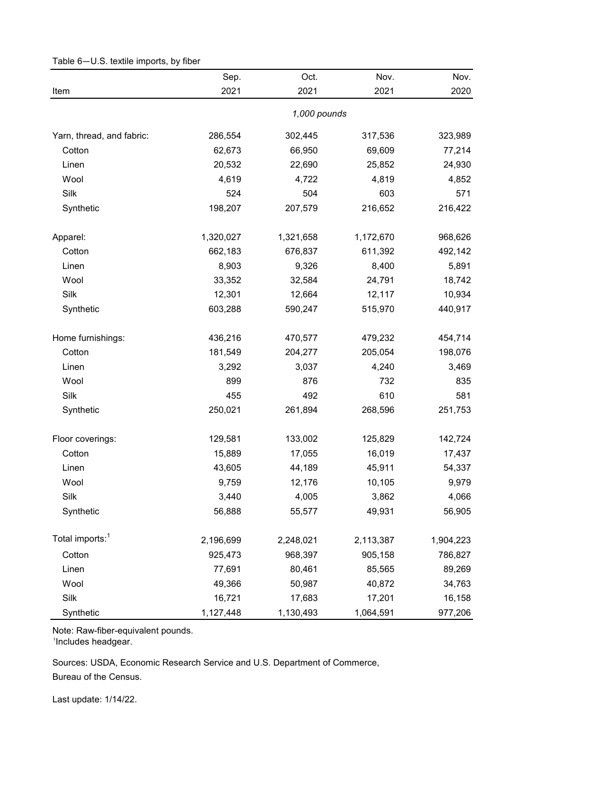|                             | Sep.      | Oct.         | Nov.      | Nov.      |
|-----------------------------|-----------|--------------|-----------|-----------|
| Item                        | 2021      | 2021         | 2021      | 2020      |
|                             |           | 1,000 pounds |           |           |
| Yarn, thread, and fabric:   | 286,554   | 302,445      | 317,536   | 323,989   |
| Cotton                      | 62,673    | 66,950       | 69,609    | 77,214    |
| Linen                       | 20,532    | 22,690       | 25,852    | 24,930    |
| Wool                        | 4,619     | 4,722        | 4,819     | 4,852     |
| Silk                        | 524       | 504          | 603       | 571       |
| Synthetic                   | 198,207   | 207,579      | 216,652   | 216,422   |
| Apparel:                    | 1,320,027 | 1,321,658    | 1,172,670 | 968,626   |
| Cotton                      | 662,183   | 676,837      | 611,392   | 492,142   |
| Linen                       | 8,903     | 9,326        | 8,400     | 5,891     |
| Wool                        | 33,352    | 32,584       | 24,791    | 18,742    |
| Silk                        | 12,301    | 12,664       | 12,117    | 10,934    |
| Synthetic                   | 603,288   | 590,247      | 515,970   | 440,917   |
| Home furnishings:           | 436,216   | 470,577      | 479,232   | 454,714   |
| Cotton                      | 181,549   | 204,277      | 205,054   | 198,076   |
| Linen                       | 3,292     | 3,037        | 4,240     | 3,469     |
| Wool                        | 899       | 876          | 732       | 835       |
| Silk                        | 455       | 492          | 610       | 581       |
| Synthetic                   | 250,021   | 261,894      | 268,596   | 251,753   |
| Floor coverings:            | 129,581   | 133,002      | 125,829   | 142,724   |
| Cotton                      | 15,889    | 17,055       | 16,019    | 17,437    |
| Linen                       | 43,605    | 44,189       | 45,911    | 54,337    |
| Wool                        | 9,759     | 12,176       | 10,105    | 9,979     |
| Silk                        | 3,440     | 4,005        | 3,862     | 4,066     |
| Synthetic                   | 56,888    | 55,577       | 49,931    | 56,905    |
| Total imports: <sup>1</sup> | 2,196,699 | 2,248,021    | 2,113,387 | 1,904,223 |
| Cotton                      | 925,473   | 968,397      | 905,158   | 786,827   |
| Linen                       | 77,691    | 80,461       | 85,565    | 89,269    |
| Wool                        | 49,366    | 50,987       | 40,872    | 34,763    |
| Silk                        | 16,721    | 17,683       | 17,201    | 16,158    |
| Synthetic                   | 1,127,448 | 1,130,493    | 1,064,591 | 977,206   |

Table 6—U.S. textile imports, by fiber

<sup>1</sup>Includes headgear.

Bureau of the Census. Sources: USDA, Economic Research Service and U.S. Department of Commerce,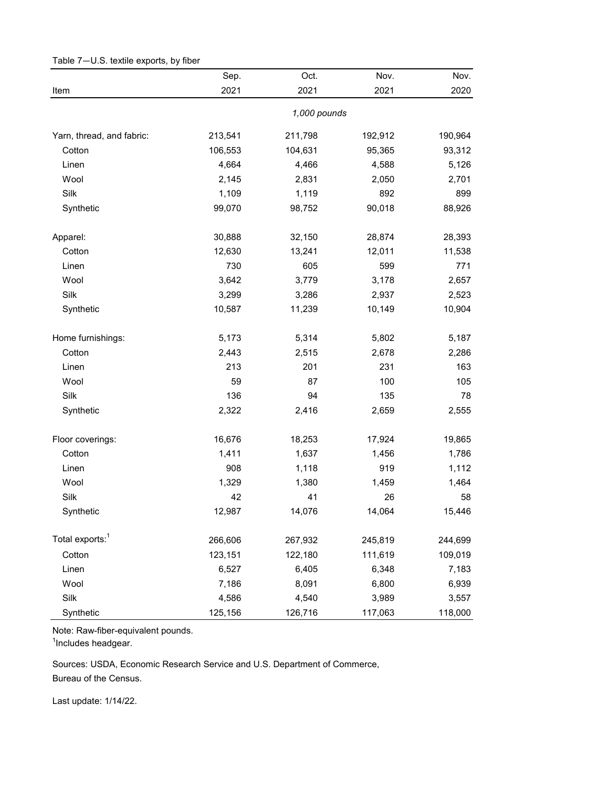|                             | Sep.    | Oct.         | Nov.    | Nov.    |
|-----------------------------|---------|--------------|---------|---------|
| Item                        | 2021    | 2021         | 2021    | 2020    |
|                             |         | 1,000 pounds |         |         |
| Yarn, thread, and fabric:   | 213,541 | 211,798      | 192,912 | 190,964 |
| Cotton                      | 106,553 | 104,631      | 95,365  | 93,312  |
| Linen                       | 4,664   | 4,466        | 4,588   | 5,126   |
| Wool                        | 2,145   | 2,831        | 2,050   | 2,701   |
| Silk                        | 1,109   | 1,119        | 892     | 899     |
| Synthetic                   | 99,070  | 98,752       | 90,018  | 88,926  |
| Apparel:                    | 30,888  | 32,150       | 28,874  | 28,393  |
| Cotton                      | 12,630  | 13,241       | 12,011  | 11,538  |
| Linen                       | 730     | 605          | 599     | 771     |
| Wool                        | 3,642   | 3,779        | 3,178   | 2,657   |
| Silk                        | 3,299   | 3,286        | 2,937   | 2,523   |
| Synthetic                   | 10,587  | 11,239       | 10,149  | 10,904  |
| Home furnishings:           | 5,173   | 5,314        | 5,802   | 5,187   |
| Cotton                      | 2,443   | 2,515        | 2,678   | 2,286   |
| Linen                       | 213     | 201          | 231     | 163     |
| Wool                        | 59      | 87           | 100     | 105     |
| Silk                        | 136     | 94           | 135     | 78      |
| Synthetic                   | 2,322   | 2,416        | 2,659   | 2,555   |
| Floor coverings:            | 16,676  | 18,253       | 17,924  | 19,865  |
| Cotton                      | 1,411   | 1,637        | 1,456   | 1,786   |
| Linen                       | 908     | 1,118        | 919     | 1,112   |
| Wool                        | 1,329   | 1,380        | 1,459   | 1,464   |
| Silk                        | 42      | 41           | 26      | 58      |
| Synthetic                   | 12,987  | 14,076       | 14,064  | 15,446  |
| Total exports: <sup>1</sup> | 266,606 | 267,932      | 245,819 | 244,699 |
| Cotton                      | 123,151 | 122,180      | 111,619 | 109,019 |
| Linen                       | 6,527   | 6,405        | 6,348   | 7,183   |
| Wool                        | 7,186   | 8,091        | 6,800   | 6,939   |
| Silk                        | 4,586   | 4,540        | 3,989   | 3,557   |
| Synthetic                   | 125,156 | 126,716      | 117,063 | 118,000 |

Table 7—U.S. textile exports, by fiber

<sup>1</sup>Includes headgear.

Bureau of the Census. Sources: USDA, Economic Research Service and U.S. Department of Commerce,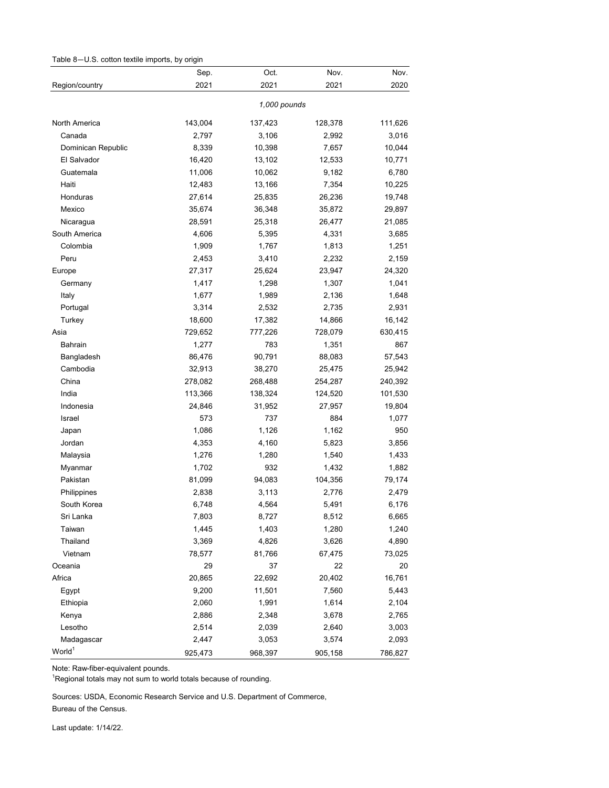| Table 8-U.S. cotton textile imports, by origin |  |  |  |  |  |
|------------------------------------------------|--|--|--|--|--|
|------------------------------------------------|--|--|--|--|--|

|                    | Sep.    | Oct.         | Nov.    | Nov.    |
|--------------------|---------|--------------|---------|---------|
| Region/country     | 2021    | 2021         | 2021    | 2020    |
|                    |         | 1,000 pounds |         |         |
| North America      | 143,004 | 137,423      | 128,378 | 111,626 |
| Canada             | 2,797   | 3,106        | 2,992   | 3,016   |
| Dominican Republic | 8,339   | 10,398       | 7,657   | 10,044  |
| El Salvador        | 16,420  | 13,102       | 12,533  | 10,771  |
| Guatemala          | 11,006  | 10,062       | 9,182   | 6,780   |
| Haiti              | 12,483  | 13,166       | 7,354   | 10,225  |
| Honduras           | 27,614  | 25,835       | 26,236  | 19,748  |
| Mexico             | 35,674  | 36,348       | 35,872  | 29,897  |
| Nicaragua          | 28,591  | 25,318       | 26,477  | 21,085  |
| South America      | 4,606   | 5,395        | 4,331   | 3,685   |
| Colombia           | 1,909   | 1,767        | 1,813   | 1,251   |
| Peru               | 2,453   | 3,410        | 2,232   | 2,159   |
| Europe             | 27,317  | 25,624       | 23,947  | 24,320  |
| Germany            | 1,417   | 1,298        | 1,307   | 1,041   |
| Italy              | 1,677   | 1,989        | 2,136   | 1,648   |
| Portugal           | 3,314   | 2,532        | 2,735   | 2,931   |
| Turkey             | 18,600  | 17,382       | 14,866  | 16,142  |
| Asia               | 729,652 | 777,226      | 728,079 | 630,415 |
| Bahrain            | 1,277   | 783          | 1,351   | 867     |
| Bangladesh         | 86,476  | 90,791       | 88,083  | 57,543  |
| Cambodia           | 32,913  | 38,270       | 25,475  | 25,942  |
| China              | 278,082 | 268,488      | 254,287 | 240,392 |
| India              | 113,366 | 138,324      | 124,520 | 101,530 |
| Indonesia          | 24,846  | 31,952       | 27,957  | 19,804  |
| Israel             | 573     | 737          | 884     | 1,077   |
| Japan              | 1,086   | 1,126        | 1,162   | 950     |
| Jordan             | 4,353   | 4,160        | 5,823   | 3,856   |
| Malaysia           | 1,276   | 1,280        | 1,540   | 1,433   |
| Myanmar            | 1,702   | 932          | 1,432   | 1,882   |
| Pakistan           | 81,099  | 94,083       | 104,356 | 79,174  |
| Philippines        | 2,838   | 3,113        | 2,776   | 2,479   |
| South Korea        | 6,748   | 4,564        | 5,491   | 6,176   |
| Sri Lanka          | 7,803   | 8,727        | 8,512   | 6,665   |
| Taiwan             | 1,445   | 1,403        | 1,280   | 1,240   |
| Thailand           | 3,369   | 4,826        | 3,626   | 4,890   |
| Vietnam            | 78,577  | 81,766       | 67,475  | 73,025  |
| Oceania            | 29      | 37           | 22      | 20      |
| Africa             | 20,865  | 22,692       | 20,402  | 16,761  |
| Egypt              | 9,200   | 11,501       | 7,560   | 5,443   |
| Ethiopia           | 2,060   | 1,991        | 1,614   | 2,104   |
| Kenya              | 2,886   | 2,348        | 3,678   | 2,765   |
| Lesotho            | 2,514   | 2,039        | 2,640   | 3,003   |
| Madagascar         | 2,447   | 3,053        | 3,574   | 2,093   |
| World <sup>1</sup> | 925,473 | 968,397      | 905,158 | 786,827 |

<sup>1</sup>Regional totals may not sum to world totals because of rounding.

Sources: USDA, Economic Research Service and U.S. Department of Commerce,

Bureau of the Census.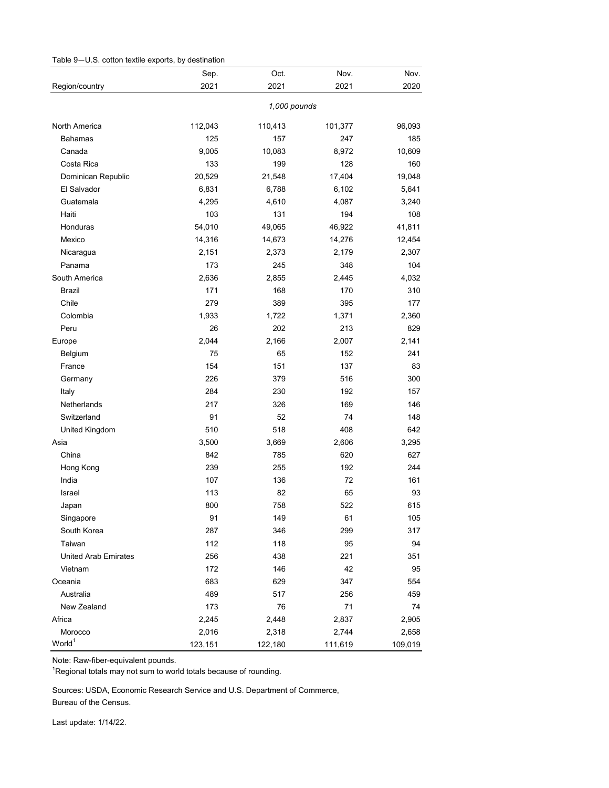| Table 9-U.S. cotton textile exports, by destination |  |  |  |
|-----------------------------------------------------|--|--|--|
|-----------------------------------------------------|--|--|--|

|                             | Sep.         | Oct.    | Nov.    | Nov.    |  |  |
|-----------------------------|--------------|---------|---------|---------|--|--|
| Region/country              | 2021         | 2021    | 2021    | 2020    |  |  |
|                             | 1,000 pounds |         |         |         |  |  |
| North America               | 112,043      | 110,413 | 101,377 | 96,093  |  |  |
| <b>Bahamas</b>              | 125          | 157     | 247     | 185     |  |  |
| Canada                      | 9,005        | 10,083  | 8,972   | 10,609  |  |  |
| Costa Rica                  | 133          | 199     | 128     | 160     |  |  |
| Dominican Republic          | 20,529       | 21,548  | 17,404  | 19,048  |  |  |
| El Salvador                 | 6,831        | 6,788   | 6,102   | 5,641   |  |  |
| Guatemala                   | 4,295        | 4,610   | 4,087   | 3,240   |  |  |
| Haiti                       | 103          | 131     | 194     | 108     |  |  |
| Honduras                    | 54,010       | 49,065  | 46,922  | 41,811  |  |  |
| Mexico                      | 14,316       | 14,673  | 14,276  | 12,454  |  |  |
| Nicaragua                   | 2,151        | 2,373   | 2,179   | 2,307   |  |  |
| Panama                      | 173          | 245     | 348     | 104     |  |  |
| South America               | 2,636        | 2,855   | 2,445   | 4,032   |  |  |
| Brazil                      | 171          | 168     | 170     | 310     |  |  |
| Chile                       | 279          | 389     | 395     | 177     |  |  |
| Colombia                    | 1,933        | 1,722   | 1,371   | 2,360   |  |  |
| Peru                        | 26           | 202     | 213     | 829     |  |  |
| Europe                      | 2,044        | 2,166   | 2,007   | 2,141   |  |  |
| Belgium                     | 75           | 65      | 152     | 241     |  |  |
| France                      | 154          | 151     | 137     | 83      |  |  |
| Germany                     | 226          | 379     | 516     | 300     |  |  |
| Italy                       | 284          | 230     | 192     | 157     |  |  |
| Netherlands                 | 217          | 326     | 169     | 146     |  |  |
| Switzerland                 | 91           | 52      | 74      | 148     |  |  |
| United Kingdom              | 510          | 518     | 408     | 642     |  |  |
| Asia                        | 3,500        | 3,669   | 2,606   | 3,295   |  |  |
| China                       | 842          | 785     | 620     | 627     |  |  |
| Hong Kong                   | 239          | 255     | 192     | 244     |  |  |
| India                       | 107          | 136     | 72      | 161     |  |  |
| Israel                      | 113          | 82      | 65      | 93      |  |  |
| Japan                       | 800          | 758     | 522     | 615     |  |  |
| Singapore                   | 91           | 149     | 61      | 105     |  |  |
| South Korea                 | 287          | 346     | 299     | 317     |  |  |
| Taiwan                      | 112          | 118     | 95      | 94      |  |  |
| <b>United Arab Emirates</b> | 256          | 438     | 221     | 351     |  |  |
| Vietnam                     | 172          | 146     | 42      | 95      |  |  |
| Oceania                     | 683          | 629     | 347     | 554     |  |  |
| Australia                   | 489          | 517     | 256     | 459     |  |  |
| New Zealand                 | 173          | 76      | 71      | 74      |  |  |
| Africa                      | 2,245        | 2,448   | 2,837   | 2,905   |  |  |
| Morocco                     | 2,016        | 2,318   | 2,744   | 2,658   |  |  |
| World <sup>1</sup>          | 123,151      | 122,180 | 111,619 | 109,019 |  |  |

 $\mathrm{^{1}R}$ egional totals may not sum to world totals because of rounding.

Bureau of the Census. Sources: USDA, Economic Research Service and U.S. Department of Commerce,